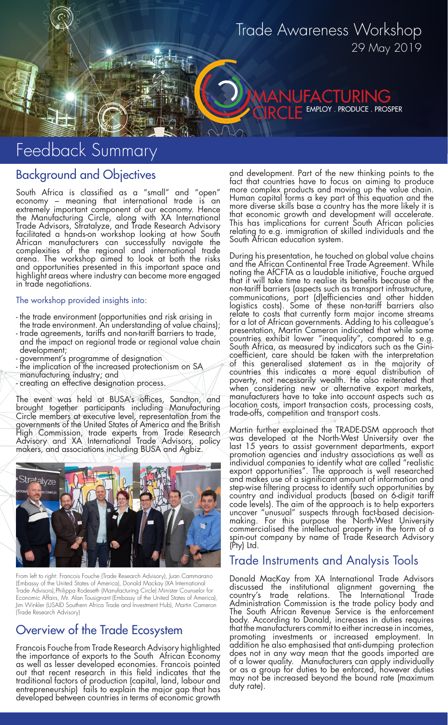# Trade Awareness Workshop 29 May 2019

IFACTURING EMPLOY . PRODUCE . PROSPER

# Feedback Summary

### Background and Objectives

South Africa is classified as a "small" and "open" economy – meaning that international trade is an extremely important component of our economy. Hence the Manufacturing Circle, along with XA International Trade Advisors, Stratalyze, and Trade Research Advisory facilitated a hands-on workshop looking at how South African manufacturers can successfully navigate the complexities of the regional and international trade arena. The workshop aimed to look at both the risks and opportunities presented in this important space and highlight areas where industry can become more engaged in trade negotiations.

#### The workshop provided insights into:

- the trade environment (opportunities and risk arising in the trade environment. An understanding of value chains);
- trade agreements, tariffs and non-tariff barriers to trade, and the impact on regional trade or regional value chain development;
- government's programme of designation
- the implication of the increased protectionism on SA manufacturing industry; and
- creating an effective designation process.

The event was held at BUSA's offices, Sandton, and brought together participants including Manufacturing Circle members at executive level, representation from the governments of the United States of America and the British

High Commission, trade experts from Trade Research Advisory and XA International Trade Advisors, policy makers, and associations including BUSA and Agbiz.



From left to right: Francois Fouche (Trade Research Advisory), Juan Cammarano (Embassy of the United States of America), Donald Mackay (XA International Trade Advisors),Philippa Rodeseth (Manufacturing Circle) Minister Counselor for Economic Affairs, Mr. Alan Tousignant (Embassy of the United States of America), Jim Winkler (USAID Southern Africa Trade and Investment Hub), Martin Cameron (Trade Research Advisory)

## Overview of the Trade Ecosystem

Francois Fouche from Trade Research Advisory highlighted the importance of exports to the South African Economy as well as lesser developed economies. Francois pointed out that recent research in this field indicates that the traditional factors of production (capital, land, labour and entrepreneurship) fails to explain the major gap that has developed between countries in terms of economic growth

and development. Part of the new thinking points to the fact that countries have to focus on aiming to produce more complex products and moving up the value chain. Human capital forms a key part of this equation and the more diverse skills base a country has the more likely it is that economic growth and development will accelerate. This has implications for current South African policies relating to e.g. immigration of skilled individuals and the South African education system.

During his presentation, he touched on global value chains and the African Continental Free Trade Agreement. While noting the AfCFTA as a laudable initiative, Fouche argued that it will take time to realise its benefits because of the non-tariff barriers (aspects such as transport infrastructure, communications, port (d)efficiencies and other hidden logistics costs). Some of these non-tariff barriers also relate to costs that currently form major income streams for a lot of African governments. Adding to his colleague's presentation, Martin Cameron indicated that while some countries exhibit lower "inequality", compared to e.g. South Africa, as measured by indicators such as the Ginicoefficient, care should be taken with the interpretation of this generalised statement as in the majority of countries this indicates a more equal distribution of poverty, not necessarily wealth. He also reiterated that when considering new or alternative export markets, manufacturers have to take into account aspects such as location costs, import transaction costs, processing costs, trade-offs, competition and transport costs.

Martin further explained the TRADE-DSM approach that  $\widetilde{\text{was}}$  developed at the North-West University over the last 15 years to assist government departments, export promotion agencies and industry associations as well as individual companies to identify what are called "realistic export opportunities". The approach is well researched and makes use of a significant amount of information and step-wise filtering process to identify such opportunities by country and individual products (based on 6-digit tariff code levels). The aim of the approach is to help exporters uncover "unusual" suspects through fact-based decisionmaking. For this purpose the North-West University commercialised the intellectual property in the form of a spin-out company by name of Trade Research Advisory (Pty) Ltd.

#### Trade Instruments and Analysis Tools

Donald MacKay from XA International Trade Advisors discussed the institutional alignment governing the country's trade relations. The International Trade Administration Commission is the trade policy body and The South African Revenue Service is the enforcement body. According to Donald, increases in duties requires that the manufacturers commit to either increase in incomes, promoting investments or increased employment. In addition he also emphasised that anti-dumping protection does not in any way mean that the goods imported are of a lower quality. Manufacturers can apply individually or as a group for duties to be enforced, however duties may not be increased beyond the bound rate (maximum duty rate).